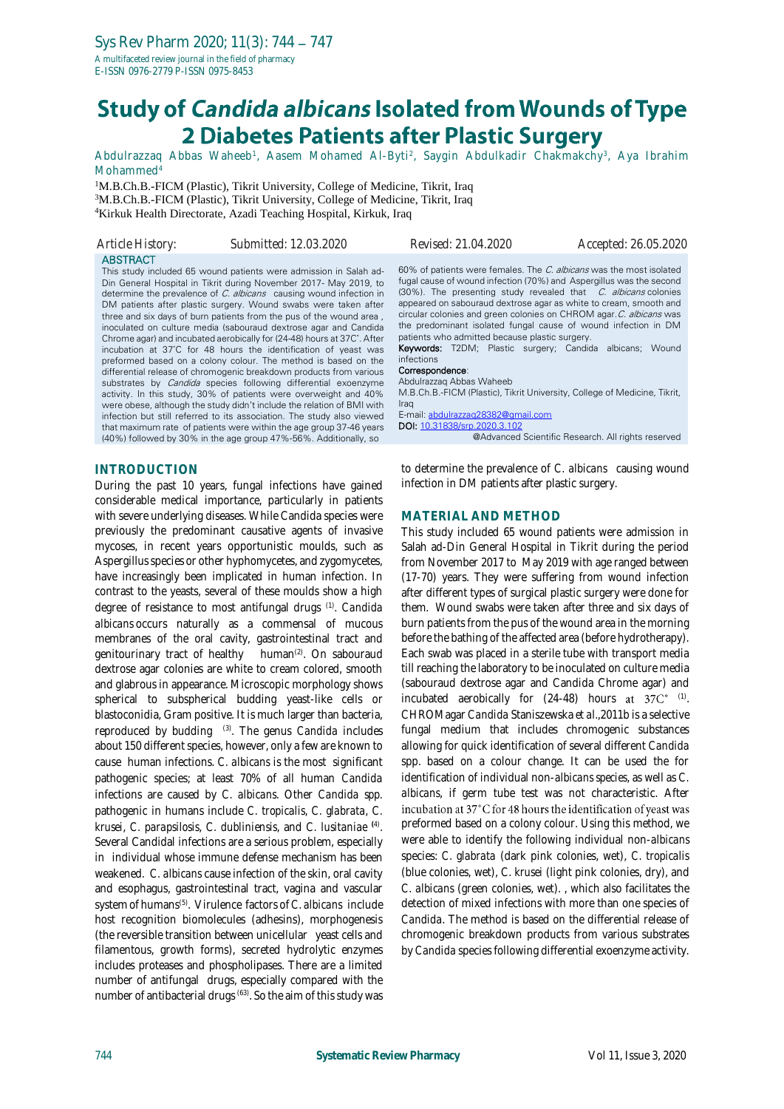# **Study of Candida albicans Isolated from Wounds of Type** 2 Diabetes Patients after Plastic Surgery

Abdulrazzaq Abbas Waheeb<sup>1</sup>, Aasem Mohamed Al-Byti<sup>2</sup>, Saygin Abdulkadir Chakmakchy<sup>3</sup>, Aya Ibrahim Mohammed<sup>4</sup>

<sup>1</sup>M.B.Ch.B.-FICM (Plastic), Tikrit University, College of Medicine, Tikrit, Iraq <sup>3</sup>M.B.Ch.B.-FICM (Plastic), Tikrit University, College of Medicine, Tikrit, Iraq <sup>4</sup>Kirkuk Health Directorate, Azadi Teaching Hospital, Kirkuk, Iraq

| Article History: | Submitted: 12.03.2020                                                                                                                                                                                                                                                                                                                                                                                                                                                                                                                                                                                                                                                                                                                                                                                                                                                                                                                                                                                                                                                                     | Revised: 21.04.2020                                                                                                                                                                                                                                                                                                                                                                                                                                                                                                                                                                                                                                                                                                                                              | Accepted: 26.05.2020                               |
|------------------|-------------------------------------------------------------------------------------------------------------------------------------------------------------------------------------------------------------------------------------------------------------------------------------------------------------------------------------------------------------------------------------------------------------------------------------------------------------------------------------------------------------------------------------------------------------------------------------------------------------------------------------------------------------------------------------------------------------------------------------------------------------------------------------------------------------------------------------------------------------------------------------------------------------------------------------------------------------------------------------------------------------------------------------------------------------------------------------------|------------------------------------------------------------------------------------------------------------------------------------------------------------------------------------------------------------------------------------------------------------------------------------------------------------------------------------------------------------------------------------------------------------------------------------------------------------------------------------------------------------------------------------------------------------------------------------------------------------------------------------------------------------------------------------------------------------------------------------------------------------------|----------------------------------------------------|
| <b>ABSTRACT</b>  | This study included 65 wound patients were admission in Salah ad-<br>Din General Hospital in Tikrit during November 2017- May 2019, to<br>determine the prevalence of C. albicans causing wound infection in<br>DM patients after plastic surgery. Wound swabs were taken after<br>three and six days of burn patients from the pus of the wound area,<br>inoculated on culture media (sabouraud dextrose agar and Candida<br>Chrome agar) and incubated aerobically for (24-48) hours at 37C°. After<br>incubation at 37°C for 48 hours the identification of yeast was<br>preformed based on a colony colour. The method is based on the<br>differential release of chromogenic breakdown products from various<br>substrates by <i>Candida</i> species following differential exoenzyme<br>activity. In this study, 30% of patients were overweight and 40%<br>were obese, although the study didn't include the relation of BMI with<br>infection but still referred to its association. The study also viewed<br>that maximum rate of patients were within the age group 37-46 years | 60% of patients were females. The C. albicans was the most isolated<br>fugal cause of wound infection (70%) and Aspergillus was the second<br>(30%). The presenting study revealed that C. albicans colonies<br>appeared on sabouraud dextrose agar as white to cream, smooth and<br>circular colonies and green colonies on CHROM agar. C. albicans was<br>the predominant isolated fungal cause of wound infection in DM<br>patients who admitted because plastic surgery.<br>Keywords: T2DM; Plastic surgery; Candida albicans; Wound<br>infections<br>Correspondence:<br>Abdulrazzag Abbas Waheeb<br>M.B.Ch.B.-FICM (Plastic), Tikrit University, College of Medicine, Tikrit,<br>Iraq<br>E-mail: abdulrazzag28382@gmail.com<br>DOI: 10.31838/srp.2020.3.102 | @Advanced Scientific Research. All rights reserved |
|                  | (40%) followed by 30% in the age group 47%-56%. Additionally, so                                                                                                                                                                                                                                                                                                                                                                                                                                                                                                                                                                                                                                                                                                                                                                                                                                                                                                                                                                                                                          |                                                                                                                                                                                                                                                                                                                                                                                                                                                                                                                                                                                                                                                                                                                                                                  |                                                    |

### **INTRODUCTION**

During the past 10 years, fungal infections have gained considerable medical importance, particularly in patients with severe underlying diseases. While Candida species were previously the predominant causative agents of invasive mycoses, in recent years opportunistic moulds, such as Aspergillus species or other hyphomycetes, and zygomycetes, have increasingly been implicated in human infection. In contrast to the yeasts, several of these moulds show a high degree of resistance to most antifungal drugs (1) . *Candida albicans* occurs naturally as a commensal of mucous membranes of the oral cavity, gastrointestinal tract and genitourinary tract of healthy human<sup>(2)</sup>. On sabouraud dextrose agar colonies are white to cream colored, smooth and glabrous in appearance. Microscopic morphology shows spherical to subspherical budding yeast-like cells or blastoconidia, Gram positive. It is much larger than bacteria, reproduced by budding (3) . The genus *Candida* includes about 150 different species, however, only a few are known to cause human infections. *C. albicans* is the most significant pathogenic species; at least 70% of all human *Candida* infections are caused by *C. albicans*. Other *Candida spp.* pathogenic in humans include *C. tropicalis*, *C. glabrata*, *C. krusei*, *C. parapsilosis*, *C. dubliniensis*, and *C. lusitaniae* **(**4) . Several Candidal infections are a serious problem, especially in individual whose immune defense mechanism has been weakened. *C. albicans* cause infection of the skin, oral cavity and esophagus, gastrointestinal tract, vagina and vascular system of humans(5) . Virulence factors of *C. albicans* include host recognition biomolecules (adhesins), morphogenesis (the reversible transition between unicellular yeast cells and filamentous, growth forms), secreted hydrolytic enzymes includes proteases and phospholipases. There are a limited number of antifungal drugs, especially compared with the number of antibacterial drugs (63) . So the aim of this study was

to determine the prevalence of *C. albicans* causing wound infection in DM patients after plastic surgery.

#### **MATERIAL AND METHOD**

This study included 65 wound patients were admission in Salah ad-Din General Hospital in Tikrit during the period from November 2017 to May 2019 with age ranged between (17-70) years. They were suffering from wound infection after different types of surgical plastic surgery were done for them. Wound swabs were taken after three and six days of burn patients from the pus of the wound area in the morning before the bathing of the affected area (before hydrotherapy). Each swab was placed in a sterile tube with transport media till reaching the laboratory to be inoculated on culture media (sabouraud dextrose agar and Candida Chrome agar) and incubated aerobically for  $(24-48)$  hours at  $37<sup>o</sup>$  (1). CHROMagar *Candida* Staniszewska *et al*.,2011b is a selective fungal medium that includes chromogenic substances allowing for quick identification of several different *Candida*  spp. based on a colour change. It can be used the for identification of individual non-*albicans species*, as well as *C. albicans*, if germ tube test was not characteristic. After incubation at 37°C for 48 hours the identification of yeast was preformed based on a colony colour. Using this method, we were able to identify the following individual non-*albicans* species: *C. glabrata* (dark pink colonies, wet), *C. tropicalis* (blue colonies, wet), *C. krusei* (light pink colonies, dry), and *C. albicans* (green colonies, wet). , which also facilitates the detection of mixed infections with more than one species of *Candida*. The method is based on the differential release of chromogenic breakdown products from various substrates by *Candida* species following differential exoenzyme activity.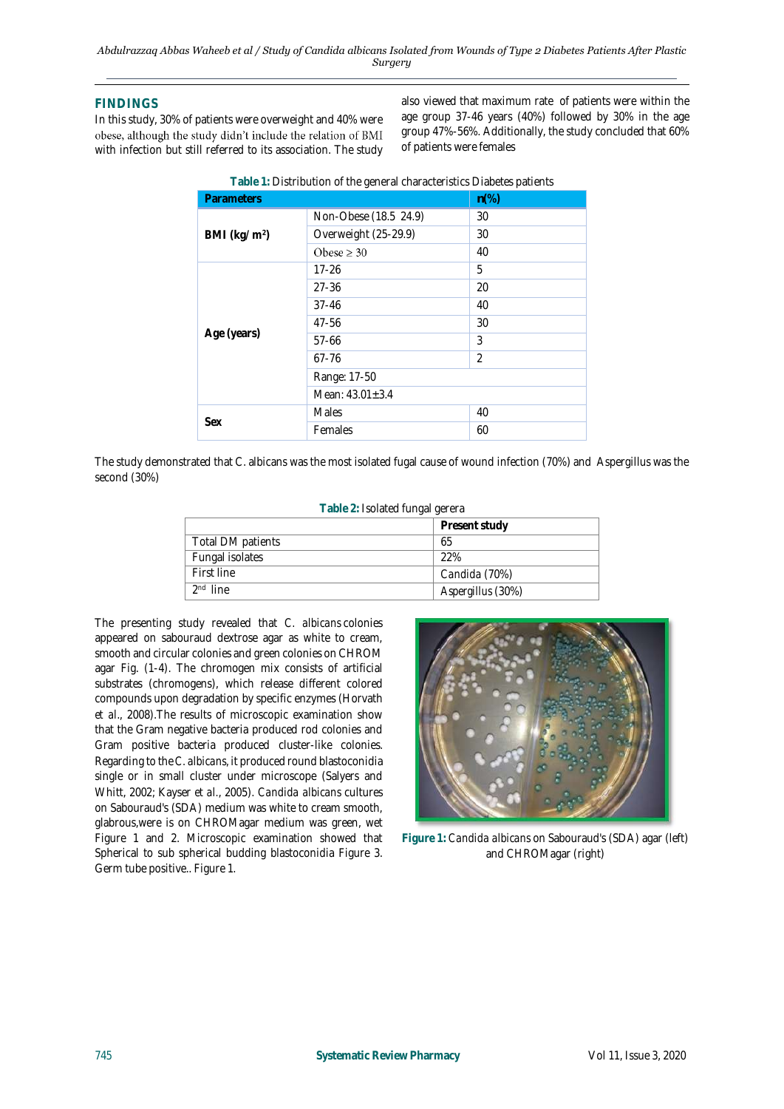## **FINDINGS**

In this study, 30% of patients were overweight and 40% were obese, although the study didn't include the relation of BMI with infection but still referred to its association. The study also viewed that maximum rate of patients were within the age group 37-46 years (40%) followed by 30% in the age group 47%-56%. Additionally, the study concluded that 60% of patients were females

| <b>Parameters</b> |                       | $n\%$                    |  |
|-------------------|-----------------------|--------------------------|--|
|                   | Non-Obese (18.5 24.9) | 30                       |  |
| BMI ( $kg/m2$ )   | Overweight (25-29.9)  | 30                       |  |
|                   | Obese $\geq 30$       | 40                       |  |
|                   | $17 - 26$             | 5                        |  |
|                   | $27 - 36$             | 20                       |  |
|                   | $37 - 46$             | 40                       |  |
|                   | 47-56                 | 30                       |  |
| Age (years)       | $57 - 66$             | 3                        |  |
|                   | $67 - 76$             | $\overline{\mathcal{L}}$ |  |
|                   | Range: 17-50          |                          |  |
|                   | Mean: $43.01 \pm 3.4$ |                          |  |
| Sex               | Males                 | 40                       |  |
|                   | Females               | 60                       |  |

**Table 1:** Distribution of the general characteristics Diabetes patients

The study demonstrated that C. albicans was the most isolated fugal cause of wound infection (70%) and Aspergillus was the second (30%)

| Table 2: Isolated fungal gerera |                   |  |
|---------------------------------|-------------------|--|
|                                 | Present study     |  |
| Total DM patients               | 65                |  |
| Fungal isolates                 | 22%               |  |
| First line                      | Candida (70%)     |  |
| 2 <sup>nd</sup> line            | Aspergillus (30%) |  |

The presenting study revealed that *C. albicans* colonies appeared on sabouraud dextrose agar as white to cream, smooth and circular colonies and green colonies on CHROM agar Fig. (1-4). The chromogen mix consists of artificial substrates (chromogens), which release different colored compounds upon degradation by specific enzymes (Horvath *et al*., 2008).The results of microscopic examination show that the Gram negative bacteria produced rod colonies and Gram positive bacteria produced cluster-like colonies. Regarding to the *C. albicans*, it produced round blastoconidia single or in small cluster under microscope (Salyers and Whitt, 2002; Kayser *et al.*, 2005). *Candida albicans* cultures on Sabouraud's (SDA) medium was white to cream smooth, glabrous,were is on CHROMagar medium was green, wet Figure 1 and 2. Microscopic examination showed that Spherical to sub spherical budding blastoconidia Figure 3. Germ tube positive.. Figure 1.



**Figure 1:** *Candida albicans* on Sabouraud's (SDA) agar (left) and CHROMagar (right)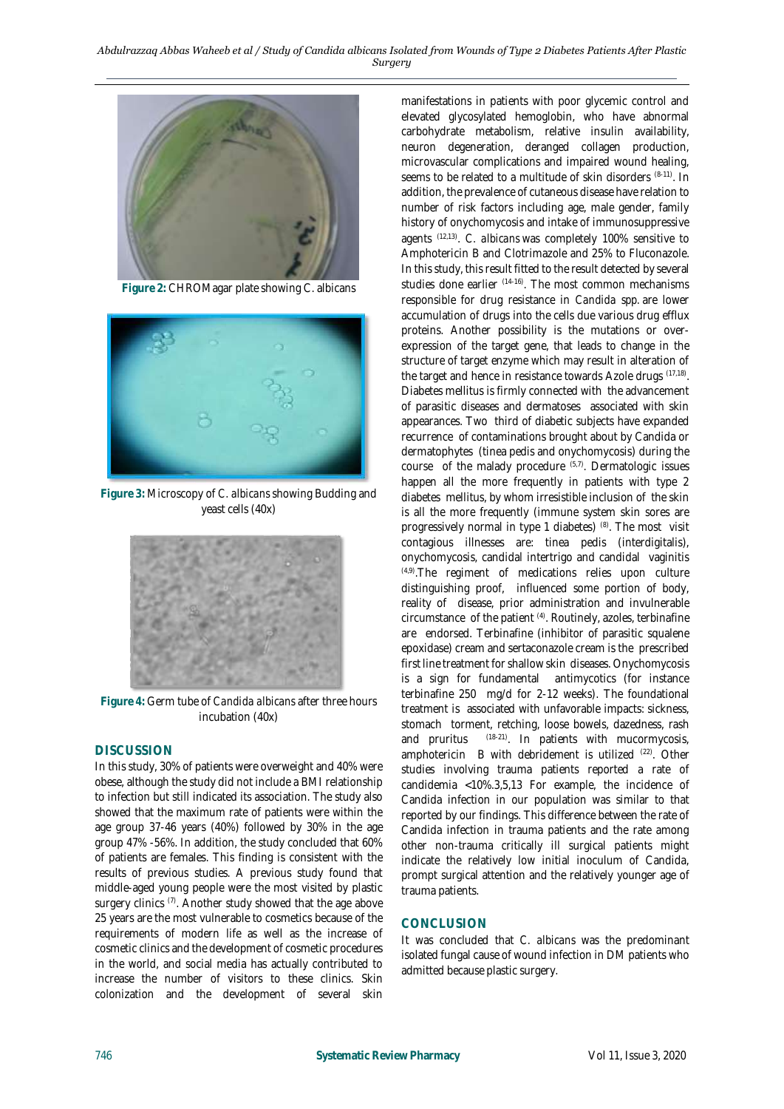

**Figure 2:** CHROMagar plate showing C. albicans



**Figure 3:** Microscopy of *C. albicans* showing Budding and yeast cells (40x)



**Figure 4:** Germ tube of *Candida albicans* after three hours incubation (40x)

### **DISCUSSION**

In this study, 30% of patients were overweight and 40% were obese, although the study did not include a BMI relationship to infection but still indicated its association. The study also showed that the maximum rate of patients were within the age group 37-46 years (40%) followed by 30% in the age group 47% -56%. In addition, the study concluded that 60% of patients are females. This finding is consistent with the results of previous studies. A previous study found that middle-aged young people were the most visited by plastic surgery clinics (7). Another study showed that the age above 25 years are the most vulnerable to cosmetics because of the requirements of modern life as well as the increase of cosmetic clinics and the development of cosmetic procedures in the world, and social media has actually contributed to increase the number of visitors to these clinics. Skin colonization and the development of several skin

manifestations in patients with poor glycemic control and elevated glycosylated hemoglobin, who have abnormal carbohydrate metabolism, relative insulin availability, neuron degeneration, deranged collagen production, microvascular complications and impaired wound healing, seems to be related to a multitude of skin disorders  $(8-11)$ . In addition, the prevalence of cutaneous disease have relation to number of risk factors including age, male gender, family history of onychomycosis and intake of immunosuppressive agents (12,13) . *C. albicans* was completely 100% sensitive to Amphotericin B and Clotrimazole and 25% to Fluconazole. In this study, this result fitted to the result detected by several studies done earlier (14-16) . The most common mechanisms responsible for drug resistance in *Candida spp.* are lower accumulation of drugs into the cells due various drug efflux proteins. Another possibility is the mutations or overexpression of the target gene, that leads to change in the structure of target enzyme which may result in alteration of the target and hence in resistance towards Azole drugs (17,18) . Diabetes mellitus is firmly connected with the advancement of parasitic diseases and dermatoses associated with skin appearances. Two third of diabetic subjects have expanded recurrence of contaminations brought about by Candida or dermatophytes (tinea pedis and onychomycosis) during the course of the malady procedure (5,7). Dermatologic issues happen all the more frequently in patients with type 2 diabetes mellitus, by whom irresistible inclusion of the skin is all the more frequently (immune system skin sores are progressively normal in type 1 diabetes) <sup>(8)</sup>. The most visit contagious illnesses are: tinea pedis (interdigitalis), onychomycosis, candidal intertrigo and candidal vaginitis (4,9) .The regiment of medications relies upon culture distinguishing proof, influenced some portion of body, reality of disease, prior administration and invulnerable circumstance of the patient (4). Routinely, azoles, terbinafine are endorsed. Terbinafine (inhibitor of parasitic squalene epoxidase) cream and sertaconazole cream is the prescribed first line treatment for shallow skin diseases. Onychomycosis is a sign for fundamental antimycotics (for instance terbinafine 250 mg/d for 2-12 weeks). The foundational treatment is associated with unfavorable impacts: sickness, stomach torment, retching, loose bowels, dazedness, rash and pruritus (18-21) . In patients with mucormycosis, amphotericin B with debridement is utilized <sup>(22)</sup>. Other studies involving trauma patients reported a rate of candidemia <10%.3,5,13 For example, the incidence of Candida infection in our population was similar to that reported by our findings. This difference between the rate of Candida infection in trauma patients and the rate among other non-trauma critically ill surgical patients might indicate the relatively low initial inoculum of Candida, prompt surgical attention and the relatively younger age of trauma patients.

### **CONCLUSION**

It was concluded that *C. albicans* was the predominant isolated fungal cause of wound infection in DM patients who admitted because plastic surgery.